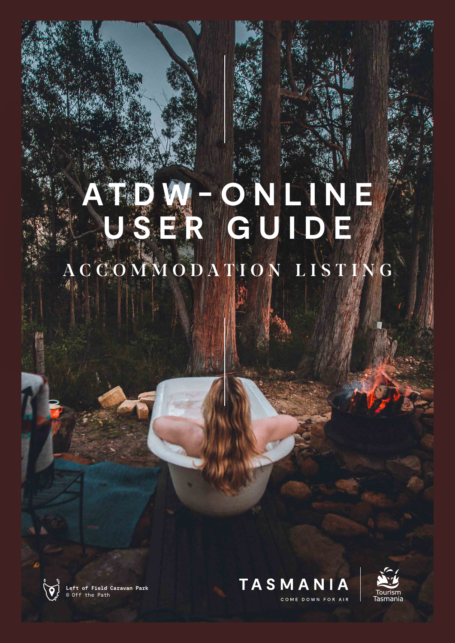## ON CNLIN **FOR** CCOMMODATION LIST



**Left of Field Caravan Park**<br>© Off the Path



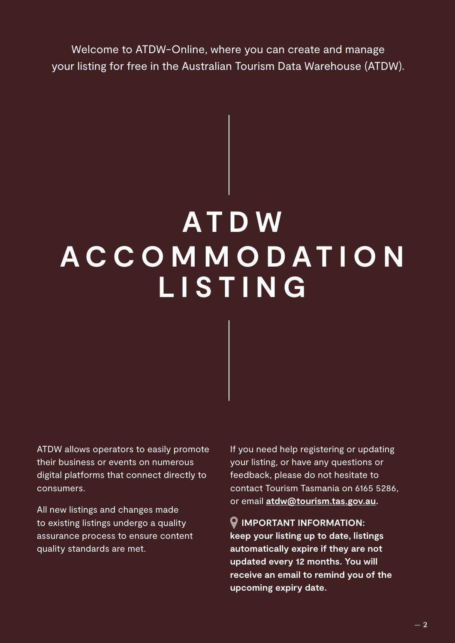Welcome to ATDW-Online, where you can create and manage your listing for free in the Australian Tourism Data Warehouse (ATDW).

# **AT D W A C C O M M O D AT I O N LISTING**

ATDW allows operators to easily promote their business or events on numerous digital platforms that connect directly to consumers.

All new listings and changes made to existing listings undergo a quality assurance process to ensure content quality standards are met.

If you need help registering or updating your listing, or have any questions or feedback, please do not hesitate to contact Tourism Tasmania on 6165 5286, or email **[atdw@tourism.tas.gov.au](mailto:atdw@tourism.tas.gov.au).**

**P** IMPORTANT INFORMATION: **keep your listing up to date, listings automatically expire if they are not updated every 12 months. You will receive an email to remind you of the upcoming expiry date.**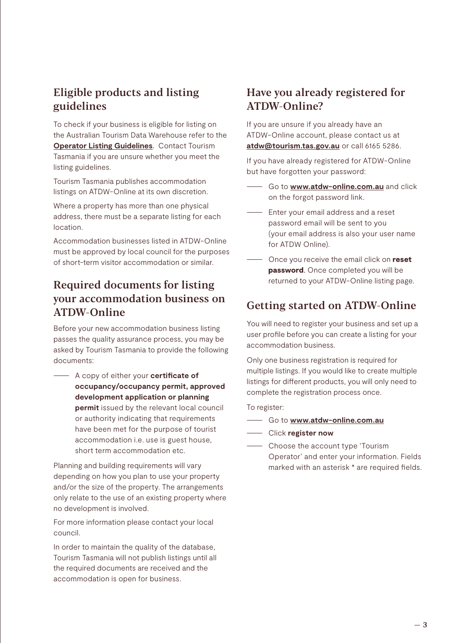## Eligible products and listing guidelines

To check if your business is eligible for listing on the Australian Tourism Data Warehouse refer to the **[Operator Listing Guidelines](https://oauth.atdw-online.com.au/assets/ATDW%20Operator%20Listing%20Guidelines.pdf)**. Contact Tourism Tasmania if you are unsure whether you meet the listing guidelines.

Tourism Tasmania publishes accommodation listings on ATDW-Online at its own discretion.

Where a property has more than one physical address, there must be a separate listing for each location.

Accommodation businesses listed in ATDW-Online must be approved by local council for the purposes of short-term visitor accommodation or similar.

## Required documents for listing your accommodation business on ATDW-Online

Before your new accommodation business listing passes the quality assurance process, you may be asked by Tourism Tasmania to provide the following documents:

–––– A copy of either your **certificate of occupancy/occupancy permit, approved development application or planning permit** issued by the relevant local council or authority indicating that requirements have been met for the purpose of tourist accommodation i.e. use is guest house, short term accommodation etc.

Planning and building requirements will vary depending on how you plan to use your property and/or the size of the property. The arrangements only relate to the use of an existing property where no development is involved.

For more information please contact your local council.

In order to maintain the quality of the database, Tourism Tasmania will not publish listings until all the required documents are received and the accommodation is open for business.

## Have you already registered for ATDW-Online?

If you are unsure if you already have an ATDW-Online account, please contact us at **[atdw@tourism.tas.gov.au](mailto:atdw@tourism.tas.gov.au)** or call 6165 5286.

If you have already registered for ATDW-Online but have forgotten your password:

- –––– Go to **[www.atdw-online.com.au](http://www.atdw-online.com.au)** and click on the forgot password link.
- –––– Enter your email address and a reset password email will be sent to you (your email address is also your user name for ATDW Online).
- $-$  Once you receive the email click on reset password. Once completed you will be returned to your ATDW-Online listing page.

## Getting started on ATDW-Online

You will need to register your business and set up a user profile before you can create a listing for your accommodation business.

Only one business registration is required for multiple listings. If you would like to create multiple listings for different products, you will only need to complete the registration process once.

To register:

- –––– Go to **[www.atdw-online.com.au](http://www.atdw-online.com.au)**
- –––– Click **register now**
- –––– Choose the account type 'Tourism Operator' and enter your information. Fields marked with an asterisk \* are required fields.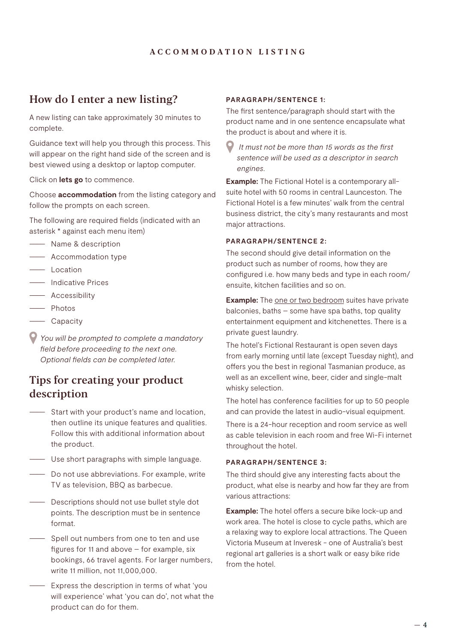#### How do I enter a new listing?

A new listing can take approximately 30 minutes to complete.

Guidance text will help you through this process. This will appear on the right hand side of the screen and is best viewed using a desktop or laptop computer.

Click on **lets go** to commence.

Choose **accommodation** from the listing category and follow the prompts on each screen.

The following are required fields (indicated with an asterisk \* against each menu item)

- –––– Name & description
- –––– Accommodation type
- –––– Location
- –––– Indicative Prices
- –––– Accessibility
- –––– Photos
- –––– Capacity

*You will be prompted to complete a mandatory field before proceeding to the next one. Optional fields can be completed later.* 

#### Tips for creating your product description

- –––– Start with your product's name and location, then outline its unique features and qualities. Follow this with additional information about the product.
- –––– Use short paragraphs with simple language.
- –––– Do not use abbreviations. For example, write TV as television, BBQ as barbecue.
- –––– Descriptions should not use bullet style dot points. The description must be in sentence format.
- –––– Spell out numbers from one to ten and use figures for 11 and above – for example, six bookings, 66 travel agents. For larger numbers, write 11 million, not 11,000,000.
- –––– Express the description in terms of what 'you will experience' what 'you can do', not what the product can do for them.

#### **PARAGRAPH/SENTENCE 1:**

The first sentence/paragraph should start with the product name and in one sentence encapsulate what the product is about and where it is.

 *It must not be more than 15 words as the first sentence will be used as a descriptor in search engines.*

**Example:** The Fictional Hotel is a contemporary allsuite hotel with 50 rooms in central Launceston. The Fictional Hotel is a few minutes' walk from the central business district, the city's many restaurants and most major attractions.

#### **PARAGRAPH/SENTENCE 2:**

The second should give detail information on the product such as number of rooms, how they are configured i.e. how many beds and type in each room/ ensuite, kitchen facilities and so on.

**Example:** The one or two bedroom suites have private balconies, baths – some have spa baths, top quality entertainment equipment and kitchenettes. There is a private guest laundry.

The hotel's Fictional Restaurant is open seven days from early morning until late (except Tuesday night), and offers you the best in regional Tasmanian produce, as well as an excellent wine, beer, cider and single-malt whisky selection.

The hotel has conference facilities for up to 50 people and can provide the latest in audio-visual equipment.

There is a 24-hour reception and room service as well as cable television in each room and free Wi-Fi internet throughout the hotel.

#### **PARAGRAPH/SENTENCE 3:**

The third should give any interesting facts about the product, what else is nearby and how far they are from various attractions:

**Example:** The hotel offers a secure bike lock-up and work area. The hotel is close to cycle paths, which are a relaxing way to explore local attractions. The Queen Victoria Museum at Inveresk - one of Australia's best regional art galleries is a short walk or easy bike ride from the hotel.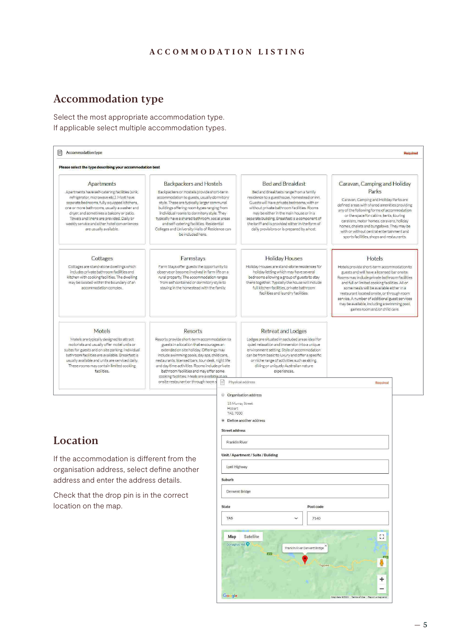## Accommodation type

Select the most appropriate accommodation type. If applicable select multiple accommodation types.

| Please select the type describing your accommodation best                                                                                                                                                                                                                                                                                                                |                                                                                                                                                                                                                                                                                                                                                                                                                                              |                                                                                 |                                                                                                                                                                                                                                                                                                                                                                                                               |                                                                                                                                                                                                                                                                                                                                                                                                                                            |  |
|--------------------------------------------------------------------------------------------------------------------------------------------------------------------------------------------------------------------------------------------------------------------------------------------------------------------------------------------------------------------------|----------------------------------------------------------------------------------------------------------------------------------------------------------------------------------------------------------------------------------------------------------------------------------------------------------------------------------------------------------------------------------------------------------------------------------------------|---------------------------------------------------------------------------------|---------------------------------------------------------------------------------------------------------------------------------------------------------------------------------------------------------------------------------------------------------------------------------------------------------------------------------------------------------------------------------------------------------------|--------------------------------------------------------------------------------------------------------------------------------------------------------------------------------------------------------------------------------------------------------------------------------------------------------------------------------------------------------------------------------------------------------------------------------------------|--|
| Apartments<br>Apartments have self-catering facilities (sink,<br>refrigerator, microwave etc.). Most have<br>separate bedrooms, fully equipped kitchens,<br>one or more bathrooms, usually a washer and<br>dryer, and sometimes a balcony or patio.<br>Towels and linens are provided. Daily or<br>weekly service and other hotel conveniences<br>are usually available. | <b>Backpackers and Hostels</b><br>Backpackers or Hostels provide short-term<br>accommodation to guests, usually dormitory<br>style. These are typically larger communal<br>buildings offering room types ranging from<br>individual rooms to dormitory style. They<br>typically have a shared bathroom, social areas<br>and self-catering facilities. Residential<br>Colleges and University Halls of Residence can<br>be included here.     |                                                                                 | <b>Bed and Breakfast</b><br>Bed and Breakfasts range from a family<br>residence to a guesthouse, homestead or inn.<br>Guests will have private bedrooms, with or<br>without private bathroom facilities. Rooms<br>may be either in the main house or in a<br>separate building. Breakfast is a component of<br>the tariff and is provided either in the form of<br>daily provisions or is prepared by a host. | Caravan, Camping and Holiday<br>Parks<br>Caravan, Camping and Holiday Parks are<br>defined areas with shared amenities providing<br>any of the following forms of accommodation<br>on the space for:cabins, tents, touring<br>caravans, motor homes, caravans, holiday<br>homes, chalets and bungalows. They may be<br>with or without central entertainment and<br>sports facilities, shops and restaurants.                              |  |
| Cottages<br>Cottages are stand-alone dwellings which<br>includes private bathroom facilities and<br>kitchen with cooking facilities. The dwelling<br>may be located within the boundary of an<br>accommodation complex.                                                                                                                                                  | Farmstays<br>Farm Stays offer guests the opportunity to<br>observe or become involved in farm life on a<br>rural property. The accommodation ranges<br>from self contained or dormitory style to<br>staying in the homestead with the family.                                                                                                                                                                                                |                                                                                 | <b>Holiday Houses</b><br>Holiday Houses are stand-alone residences for<br>holiday letting which may have several<br>bedrooms allowing a group of guests to stay<br>there together. Typically the house will include<br>full kitchen facilities, private bathroom<br>facilities and laundry facilities.                                                                                                        | <b>Hotels</b><br>Hotels provide short-term accommodation to<br>guests and will have a licensed bar onsite.<br>Rooms may include private bathroom facilities<br>and full or limited cooking facilities. All or<br>some meals will be available either in a<br>restaurant located onsite, or through room<br>service. A number of additional guest services<br>may be available, including a swimming pool.<br>games room and/or child care. |  |
| Motels<br>Motels are typically designed to attract<br>motorists and usually offer motel units or<br>suites for guests and on site parking. Individual<br>bathroom facilities are available. Breakfast is<br>usually available and units are serviced daily.<br>These rooms may contain limited cooking<br>facilities.                                                    | <b>Resorts</b><br>Resorts provide short-term accommodation to<br>guests in a location that encourages an<br>extended on site holiday. Offerings may<br>include swimming pools, day spa, child care,<br>restaurants, licensed bars, tour desk, night life<br>and day time activities. Rooms include private<br>bathroom facilities and may offer some<br>cooking facilities. Meals are available in an<br>onsite restaurant or through room s | Physical address                                                                | <b>Retreat and Lodges</b><br>Lodges are situated in secluded areas ideal for<br>quiet relaxation and immersion into a unique<br>environment setting. Style of accommodation<br>can be from basic to luxury and offer a specific<br>or niche range of activities such as skiing.<br>diving or uniquely Australian nature<br>experiences.                                                                       | Required                                                                                                                                                                                                                                                                                                                                                                                                                                   |  |
| Location<br>If the accommodation is different from the<br>organisation address, select define another                                                                                                                                                                                                                                                                    |                                                                                                                                                                                                                                                                                                                                                                                                                                              | Hobart<br>TAS, 7000<br><b>Street address</b><br>Franklin River<br>Lyell Highway | © Organisation address<br>15 Murray Street<br>· Define another address<br>Unit / Apartment / Suite / Building                                                                                                                                                                                                                                                                                                 |                                                                                                                                                                                                                                                                                                                                                                                                                                            |  |
| address and enter the address details.<br>Check that the drop pin is in the correct<br>location on the map.                                                                                                                                                                                                                                                              |                                                                                                                                                                                                                                                                                                                                                                                                                                              | Suburb<br>Derwent Bridge<br><b>State</b><br><b>TAS</b>                          | Post code<br>7140<br>$\checkmark$                                                                                                                                                                                                                                                                                                                                                                             |                                                                                                                                                                                                                                                                                                                                                                                                                                            |  |
|                                                                                                                                                                                                                                                                                                                                                                          |                                                                                                                                                                                                                                                                                                                                                                                                                                              | Map<br>Donaghys Hill<br>Google                                                  | Satellite<br>Franklin River Derwent Bridge<br><b>AID</b><br>Sed Hvo                                                                                                                                                                                                                                                                                                                                           | $\begin{bmatrix} 1 \\ 2 \end{bmatrix}$<br>$\ddag$<br>Map data @2020 Terms of Use Report a map erro                                                                                                                                                                                                                                                                                                                                         |  |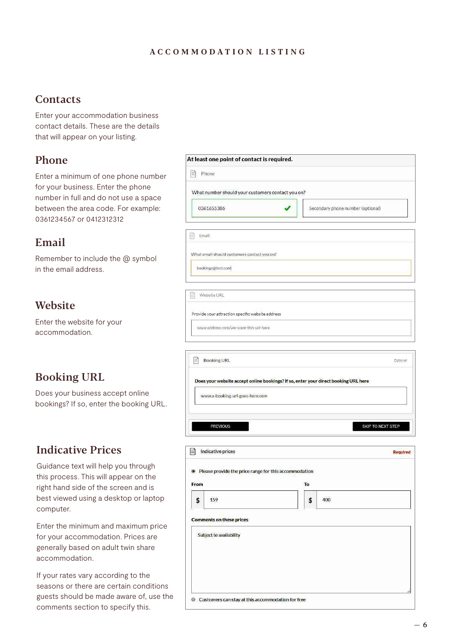#### **Contacts**

Enter your accommodation business contact details. These are the details that will appear on your listing.

### Phone

Enter a minimum of one phone number for your business. Enter the phone number in full and do not use a space between the area code. For example: 0361234567 or 0412312312

## Email

Remember to include the @ symbol in the email address.

## **Website**

Enter the website for your accommodation.

## Booking URL

Does your business accept online bookings? If so, enter the booking URL.

## Indicative Prices

Guidance text will help you through this process. This will appear on the right hand side of the screen and is best viewed using a desktop or laptop computer.

Enter the minimum and maximum price for your accommodation. Prices are generally based on adult twin share accommodation.

If your rates vary according to the seasons or there are certain conditions guests should be made aware of, use the comments section to specify this.

|            |                                                  | What number should your customers contact you on?       |    |                                                                                     |                                      |
|------------|--------------------------------------------------|---------------------------------------------------------|----|-------------------------------------------------------------------------------------|--------------------------------------|
|            | 0361655386                                       |                                                         |    | Secondary phone number (optional)                                                   |                                      |
| R<br>Email |                                                  |                                                         |    |                                                                                     |                                      |
|            | What email should customers contact you on?      |                                                         |    |                                                                                     |                                      |
|            | bookings@test.com                                |                                                         |    |                                                                                     |                                      |
|            | Website URL                                      |                                                         |    |                                                                                     |                                      |
|            | Provide your attraction specific website address |                                                         |    |                                                                                     |                                      |
|            | www.address.com/we-want-this-url-here            |                                                         |    |                                                                                     |                                      |
| Þ          | <b>Booking URL</b>                               |                                                         |    |                                                                                     | Optional                             |
|            |                                                  |                                                         |    |                                                                                     |                                      |
|            |                                                  |                                                         |    |                                                                                     |                                      |
|            |                                                  |                                                         |    | Does your website accept online bookings? If so, enter your direct booking URL here |                                      |
|            |                                                  |                                                         |    |                                                                                     |                                      |
|            | www.a-booking-url-goes-here.com                  |                                                         |    |                                                                                     |                                      |
|            |                                                  |                                                         |    |                                                                                     |                                      |
|            | <b>PREVIOUS</b>                                  |                                                         |    |                                                                                     |                                      |
|            |                                                  |                                                         |    |                                                                                     |                                      |
| f          | Indicative prices                                |                                                         |    |                                                                                     |                                      |
|            |                                                  |                                                         |    |                                                                                     |                                      |
|            |                                                  | • Please provide the price range for this accommodation |    |                                                                                     |                                      |
| From       |                                                  |                                                         | To |                                                                                     |                                      |
| ¢          | 159                                              |                                                         | ¢  | 400                                                                                 |                                      |
|            |                                                  |                                                         |    |                                                                                     |                                      |
|            | <b>Comments on these prices</b>                  |                                                         |    |                                                                                     |                                      |
|            | Subject to availability                          |                                                         |    |                                                                                     |                                      |
|            |                                                  |                                                         |    |                                                                                     |                                      |
|            |                                                  |                                                         |    |                                                                                     | SKIP TO NEXT STEP<br><b>Required</b> |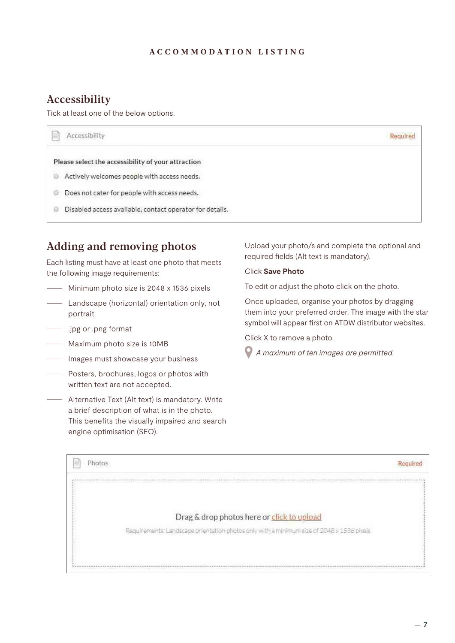## Accessibility

Tick at least one of the below options.

| 5  | Accessibility                                            |  |
|----|----------------------------------------------------------|--|
|    | Please select the accessibility of your attraction       |  |
| i3 | Actively welcomes people with access needs.              |  |
|    | Does not cater for people with access needs.             |  |
|    | Disabled access available, contact operator for details. |  |

## Adding and removing photos

Each listing must have at least one photo that meets the following image requirements:

- –––– Minimum photo size is 2048 x 1536 pixels
- –––– Landscape (horizontal) orientation only, not portrait
- –––– .jpg or .png format
- –––– Maximum photo size is 10MB
- –––– Images must showcase your business
- –––– Posters, brochures, logos or photos with written text are not accepted.
- –––– Alternative Text (Alt text) is mandatory. Write a brief description of what is in the photo. This benefits the visually impaired and search engine optimisation (SEO).

Upload your photo/s and complete the optional and required fields (Alt text is mandatory).

#### Click **Save Photo**

To edit or adjust the photo click on the photo.

Once uploaded, organise your photos by dragging them into your preferred order. The image with the star symbol will appear first on ATDW distributor websites.

Click X to remove a photo.



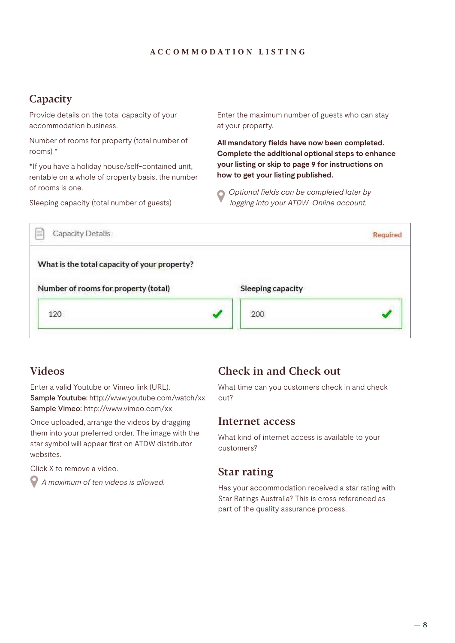#### **Capacity**

Provide details on the total capacity of your accommodation business.

Number of rooms for property (total number of rooms) \*

\*If you have a holiday house/self-contained unit, rentable on a whole of property basis, the number of rooms is one.

Sleeping capacity (total number of guests)

Enter the maximum number of guests who can stay at your property.

**All mandatory fields have now been completed. Complete the additional optional steps to enhance your listing or skip to page 9 for instructions on how to get your listing published.**

*Optional fields can be completed later by logging into your ATDW-Online account.*

|                   | Required |
|-------------------|----------|
|                   |          |
| Sleeping capacity |          |
| 200               |          |
|                   |          |

#### Videos

Enter a valid Youtube or Vimeo link (URL). Sample Youtube: http://www.youtube.com/watch/xx Sample Vimeo: http://www.vimeo.com/xx

Once uploaded, arrange the videos by dragging them into your preferred order. The image with the star symbol will appear first on ATDW distributor websites.

Click X to remove a video.

*A maximum of ten videos is allowed.*

## Check in and Check out

What time can you customers check in and check out?

#### Internet access

What kind of internet access is available to your customers?

#### Star rating

Has your accommodation received a star rating with Star Ratings Australia? This is cross referenced as part of the quality assurance process.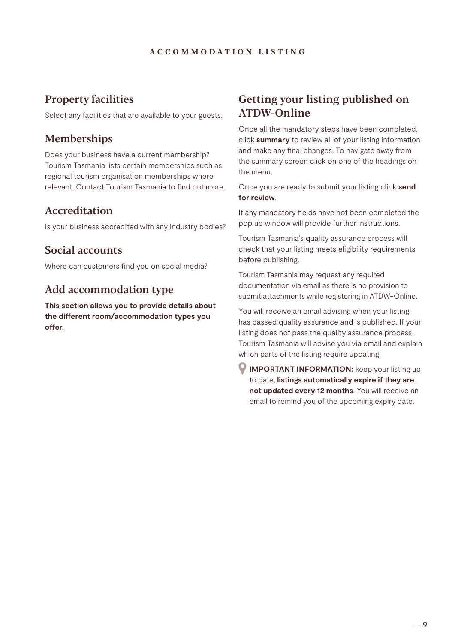#### Property facilities

Select any facilities that are available to your guests.

#### Memberships

Does your business have a current membership? Tourism Tasmania lists certain memberships such as regional tourism organisation memberships where relevant. Contact Tourism Tasmania to find out more.

## Accreditation

Is your business accredited with any industry bodies?

#### Social accounts

Where can customers find you on social media?

## Add accommodation type

**This section allows you to provide details about the different room/accommodation types you offer.** 

## Getting your listing published on ATDW-Online

Once all the mandatory steps have been completed, click **summary** to review all of your listing information and make any final changes. To navigate away from the summary screen click on one of the headings on the menu.

Once you are ready to submit your listing click **send for review**.

If any mandatory fields have not been completed the pop up window will provide further instructions.

Tourism Tasmania's quality assurance process will check that your listing meets eligibility requirements before publishing.

Tourism Tasmania may request any required documentation via email as there is no provision to submit attachments while registering in ATDW-Online.

You will receive an email advising when your listing has passed quality assurance and is published. If your listing does not pass the quality assurance process, Tourism Tasmania will advise you via email and explain which parts of the listing require updating.

**IMPORTANT INFORMATION:** keep your listing up to date, **listings automatically expire if they are not updated every 12 months**. You will receive an email to remind you of the upcoming expiry date.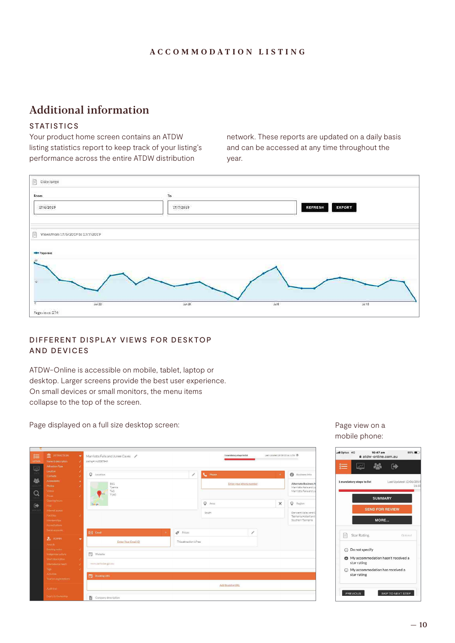## Additional information

#### **STATISTICS**

Your product home screen contains an ATDW listing statistics report to keep track of your listing's performance across the entire ATDW distribution

network. These reports are updated on a daily basis and can be accessed at any time throughout the year.



#### DIFFERENT DISPLAY VIEWS FOR DESKTOP AND DEVICES

ATDW-Online is accessible on mobile, tablet, laptop or desktop. Larger screens provide the best user experience. On small devices or small monitors, the menu items collapse to the top of the screen.

Page displayed on a full size desktop screen:



| 這<br><b>THE ATTRACTION</b><br>antoxis<br>Name & description<br>Attraction Type<br>Q | $\bullet$<br>Marriotts Falls and Junee Caves<br>Listing#:AU0087843<br>- s<br>V |                         | 1 mandatory steps to list | Lest Updated 18/08/2016 11:54 @ |                                                                   |
|-------------------------------------------------------------------------------------|--------------------------------------------------------------------------------|-------------------------|---------------------------|---------------------------------|-------------------------------------------------------------------|
| Location<br>Contacts                                                                | ¥<br><b>Q</b> Location<br>¥                                                    | ₽                       | <b>L</b> Phone            |                                 | <b>Business Info</b>                                              |
| 参<br>Accessibility<br>Photos                                                        | $\star$<br><b>B61</b><br>¥<br>Tyenna                                           |                         | Enter your phone number   |                                 | Alternate Business N<br>Marriotts Falls and Ju                    |
| Videos<br>$\Omega$<br>Prices                                                        | TAS<br>7140<br>u                                                               |                         |                           |                                 | Marriotts Falls and Ju                                            |
| Demagnoors<br>$\bullet$<br>Map                                                      | Go gle                                                                         |                         | Q Area                    | $\times$                        | Q Region                                                          |
| internet acous-<br>Facilities<br>Memberships<br>Accreditations                      |                                                                                |                         | South                     |                                 | Derwent Valley and C<br>Tasmania. Hobart and<br>Southern Tasmania |
| Spoal accounts                                                                      | <b>Email</b><br>$\ddot{}$                                                      | ø<br>Prices             | ₽                         |                                 |                                                                   |
| A ADMIN<br>Awards                                                                   | ٠<br>Enter Your Email ID                                                       | This attraction is free |                           |                                 |                                                                   |
| <b>Basking</b> added<br>Indigenous culture                                          | ×.<br>岡<br>Website                                                             |                         |                           |                                 |                                                                   |
| Short description<br>International reach<br>Tags                                    | - 16<br>www.perks.tas.gov.eu<br>- s<br>a                                       |                         |                           |                                 |                                                                   |
| Activities<br>Thurism organisations                                                 | <b>Booking URL</b>                                                             |                         |                           |                                 |                                                                   |
| Accounting                                                                          |                                                                                |                         | Add Booking URL           |                                 |                                                                   |
| Expriv & Ownership                                                                  | 苜<br>Company description                                                       |                         |                           |                                 |                                                                   |

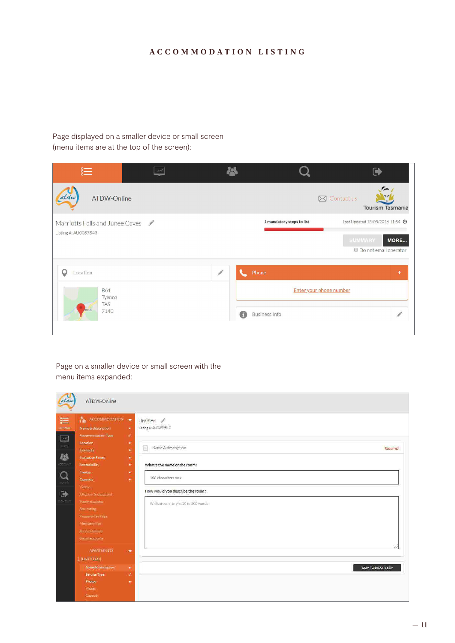Page displayed on a smaller device or small screen (menu items are at the top of the screen):

| 這                                  |            |                           |                                            |
|------------------------------------|------------|---------------------------|--------------------------------------------|
| atdw<br>ATDW-Online                |            |                           | $\boxtimes$ Contact us<br>Tourism Tasmania |
| Marriotts Falls and Junee Caves    |            | 1 mandatory steps to list | Last Updated 18/08/2016 11:54 0            |
| Listing #: AU0087843               |            |                           | SUMMARY<br>MORE<br>Do not email operator   |
| Q<br>Location                      | <b>ANY</b> | Phone                     | $+$                                        |
| <b>B61</b><br>Tyenna<br><b>TAS</b> |            |                           | Enter your phone number                    |
| 7140<br>enna                       | G.         | <b>Business Info</b>      | <b>AND</b>                                 |

Page on a smaller device or small screen with the menu items expanded:

| atdw                                              | ATDW-Online                                                                                                |                                     |
|---------------------------------------------------|------------------------------------------------------------------------------------------------------------|-------------------------------------|
| 這<br>LISTINGS:<br>$\boxed{\underline{\boxtimes}}$ | ACCOMMODATION .<br>Name & description<br>$\bullet$<br>Accommodation Type<br>$\mathcal{R}$<br>Location<br>۴ | Untitled /<br>Listing #: AU0389510  |
| ł.                                                | $\bullet$<br>Contacts<br>Indicative Prices<br>٠                                                            | n<br>Name & description<br>Required |
|                                                   | Accessibility<br>$\bullet$                                                                                 | What's the name of the room?        |
| $\alpha$                                          | Photos<br>$\bullet$<br>٠<br>Capacity:                                                                      | 100 characters max                  |
| $\Theta$                                          | image<br>Oregon & Bedfand                                                                                  | How would you describe the room?    |
| EGKI I                                            | Tritemet somes<br>Star cating<br>Property facilities:<br>Memberanian<br>Accreditations                     | Write a summary in 10 to 200 words  |
|                                                   | Sacial accounts<br><b>ARARTMENTS</b><br>$\bullet$                                                          |                                     |
|                                                   | <b>I IUNTITLED!</b>                                                                                        |                                     |
|                                                   | Name & description<br>$\bullet$<br>Service Type<br>$\mathcal{J}$                                           | SKIP TO NEXT STEP                   |
|                                                   | Protos<br>$\mathbf{R}$<br>Vitinia<br>Capecity                                                              |                                     |